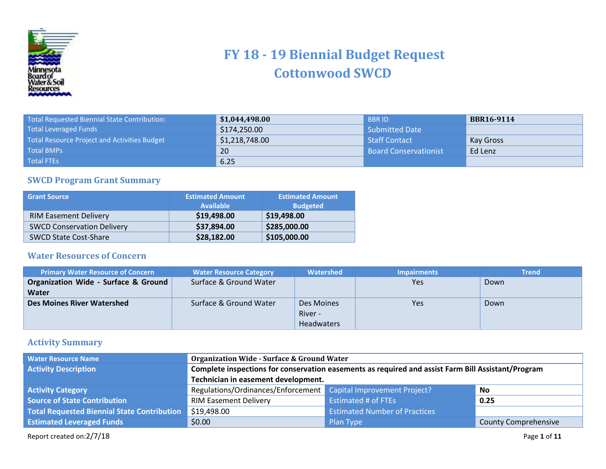

## **FY 18 - 19 Biennial Budget Request Cottonwood SWCD**

| Total Requested Biennial State Contribution:        | \$1,044,498.00 | <b>BBRID</b>                 | <b>BBR16-9114</b> |
|-----------------------------------------------------|----------------|------------------------------|-------------------|
| <b>Total Leveraged Funds</b>                        | \$174,250.00   | Submitted Date               |                   |
| <b>Total Resource Project and Activities Budget</b> | \$1,218,748.00 | Staff Contact                | Kay Gross         |
| <b>Total BMPs</b>                                   | 20             | <b>Board Conservationist</b> | Ed Lenz           |
| <b>Total FTEs</b>                                   | 6.25           |                              |                   |

## **SWCD Program Grant Summary**

| <b>Grant Source</b>               | <b>Estimated Amount</b><br><b>Available</b> | <b>Estimated Amount</b><br><b>Budgeted</b> |
|-----------------------------------|---------------------------------------------|--------------------------------------------|
| <b>RIM Easement Delivery</b>      | \$19,498.00                                 | \$19,498.00                                |
| <b>SWCD Conservation Delivery</b> | \$37,894.00                                 | \$285,000.00                               |
| <b>SWCD State Cost-Share</b>      | \$28,182.00                                 | \$105,000.00                               |

## **Water Resources of Concern**

| <b>Primary Water Resource of Concern</b> | <b>Water Resource Category</b> | Watershed         | <b>Impairments</b> | <b>Trend</b> |
|------------------------------------------|--------------------------------|-------------------|--------------------|--------------|
| Organization Wide - Surface & Ground     | Surface & Ground Water         |                   | Yes                | Down         |
| Water                                    |                                |                   |                    |              |
| <b>Des Moines River Watershed</b>        | Surface & Ground Water         | Des Moines        | Yes                | Down         |
|                                          |                                | River -           |                    |              |
|                                          |                                | <b>Headwaters</b> |                    |              |

## **Activity Summary**

| <b>Water Resource Name</b>                         | <b>Organization Wide - Surface &amp; Ground Water</b>                                              |                                                                       |                             |  |  |
|----------------------------------------------------|----------------------------------------------------------------------------------------------------|-----------------------------------------------------------------------|-----------------------------|--|--|
| <b>Activity Description</b>                        | Complete inspections for conservation easements as required and assist Farm Bill Assistant/Program |                                                                       |                             |  |  |
|                                                    | Technician in easement development.                                                                |                                                                       |                             |  |  |
| <b>Activity Category</b>                           |                                                                                                    | Regulations/Ordinances/Enforcement Capital Improvement Project?<br>No |                             |  |  |
| <b>Source of State Contribution</b>                | <b>RIM Easement Delivery</b>                                                                       | <b>Estimated # of FTEs</b>                                            | 0.25                        |  |  |
| <b>Total Requested Biennial State Contribution</b> | $\frac{1}{2}$ \$19,498.00                                                                          | <b>Estimated Number of Practices</b>                                  |                             |  |  |
| <b>Estimated Leveraged Funds</b>                   | \$0.00                                                                                             | Plan Type                                                             | <b>County Comprehensive</b> |  |  |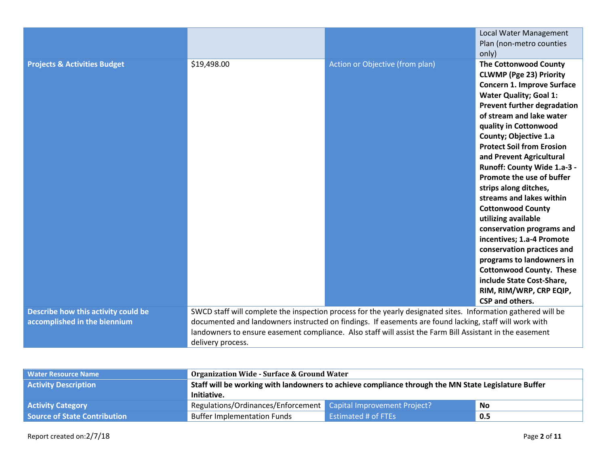|                                                                     |                   |                                                                                                                                                                                                                                                                                                                                     | Local Water Management<br>Plan (non-metro counties<br>only)                                                                                                                                                                                                                                                                                                                                                                                                                                                                                                                                                                                                                                                                            |
|---------------------------------------------------------------------|-------------------|-------------------------------------------------------------------------------------------------------------------------------------------------------------------------------------------------------------------------------------------------------------------------------------------------------------------------------------|----------------------------------------------------------------------------------------------------------------------------------------------------------------------------------------------------------------------------------------------------------------------------------------------------------------------------------------------------------------------------------------------------------------------------------------------------------------------------------------------------------------------------------------------------------------------------------------------------------------------------------------------------------------------------------------------------------------------------------------|
| <b>Projects &amp; Activities Budget</b>                             | \$19,498.00       | Action or Objective (from plan)                                                                                                                                                                                                                                                                                                     | <b>The Cottonwood County</b><br><b>CLWMP (Pge 23) Priority</b><br><b>Concern 1. Improve Surface</b><br><b>Water Quality; Goal 1:</b><br><b>Prevent further degradation</b><br>of stream and lake water<br>quality in Cottonwood<br>County; Objective 1.a<br><b>Protect Soil from Erosion</b><br>and Prevent Agricultural<br>Runoff: County Wide 1.a-3 -<br>Promote the use of buffer<br>strips along ditches,<br>streams and lakes within<br><b>Cottonwood County</b><br>utilizing available<br>conservation programs and<br>incentives; 1.a-4 Promote<br>conservation practices and<br>programs to landowners in<br><b>Cottonwood County. These</b><br>include State Cost-Share,<br>RIM, RIM/WRP, CRP EQIP,<br><b>CSP and others.</b> |
| Describe how this activity could be<br>accomplished in the biennium | delivery process. | SWCD staff will complete the inspection process for the yearly designated sites. Information gathered will be<br>documented and landowners instructed on findings. If easements are found lacking, staff will work with<br>landowners to ensure easement compliance. Also staff will assist the Farm Bill Assistant in the easement |                                                                                                                                                                                                                                                                                                                                                                                                                                                                                                                                                                                                                                                                                                                                        |

| <b>Water Resource Name</b>          | <b>Organization Wide - Surface &amp; Ground Water</b>                                               |                                   |  |  |  |
|-------------------------------------|-----------------------------------------------------------------------------------------------------|-----------------------------------|--|--|--|
| <b>Activity Description</b>         | Staff will be working with landowners to achieve compliance through the MN State Legislature Buffer |                                   |  |  |  |
|                                     | Initiative.                                                                                         |                                   |  |  |  |
| <b>Activity Category</b>            | Regulations/Ordinances/Enforcement Capital Improvement Project?<br>No                               |                                   |  |  |  |
| <b>Source of State Contribution</b> | <b>Buffer Implementation Funds</b>                                                                  | <b>Estimated # of FTEs</b><br>0.5 |  |  |  |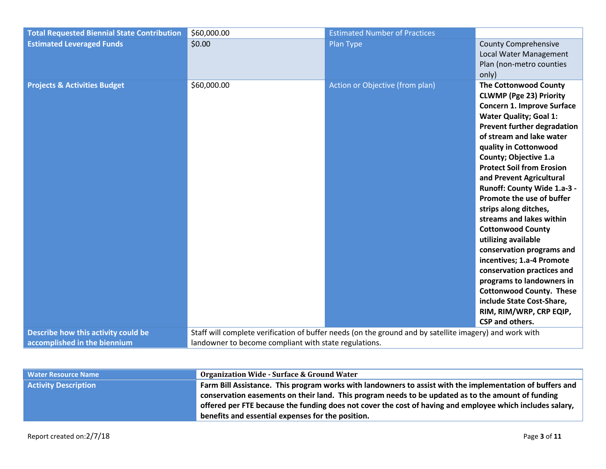| <b>Total Requested Biennial State Contribution</b> | \$60,000.00                                           | <b>Estimated Number of Practices</b>                                                                    |                                                                                                                                                                                                                                                                                                                                                                                                                                                                                                                                                                                                                                                                                                                                 |
|----------------------------------------------------|-------------------------------------------------------|---------------------------------------------------------------------------------------------------------|---------------------------------------------------------------------------------------------------------------------------------------------------------------------------------------------------------------------------------------------------------------------------------------------------------------------------------------------------------------------------------------------------------------------------------------------------------------------------------------------------------------------------------------------------------------------------------------------------------------------------------------------------------------------------------------------------------------------------------|
| <b>Estimated Leveraged Funds</b>                   | \$0.00                                                | Plan Type                                                                                               | <b>County Comprehensive</b><br>Local Water Management<br>Plan (non-metro counties<br>only)                                                                                                                                                                                                                                                                                                                                                                                                                                                                                                                                                                                                                                      |
| <b>Projects &amp; Activities Budget</b>            | \$60,000.00                                           | Action or Objective (from plan)                                                                         | <b>The Cottonwood County</b><br><b>CLWMP (Pge 23) Priority</b><br><b>Concern 1. Improve Surface</b><br><b>Water Quality; Goal 1:</b><br><b>Prevent further degradation</b><br>of stream and lake water<br>quality in Cottonwood<br>County; Objective 1.a<br><b>Protect Soil from Erosion</b><br>and Prevent Agricultural<br>Runoff: County Wide 1.a-3 -<br>Promote the use of buffer<br>strips along ditches,<br>streams and lakes within<br><b>Cottonwood County</b><br>utilizing available<br>conservation programs and<br>incentives; 1.a-4 Promote<br>conservation practices and<br>programs to landowners in<br><b>Cottonwood County. These</b><br>include State Cost-Share,<br>RIM, RIM/WRP, CRP EQIP,<br>CSP and others. |
| Describe how this activity could be                |                                                       | Staff will complete verification of buffer needs (on the ground and by satellite imagery) and work with |                                                                                                                                                                                                                                                                                                                                                                                                                                                                                                                                                                                                                                                                                                                                 |
| accomplished in the biennium                       | landowner to become compliant with state regulations. |                                                                                                         |                                                                                                                                                                                                                                                                                                                                                                                                                                                                                                                                                                                                                                                                                                                                 |

| <b>Water Resource Name</b>  | <b>Organization Wide - Surface &amp; Ground Water</b>                                                     |
|-----------------------------|-----------------------------------------------------------------------------------------------------------|
| <b>Activity Description</b> | Farm Bill Assistance. This program works with landowners to assist with the implementation of buffers and |
|                             | conservation easements on their land. This program needs to be updated as to the amount of funding        |
|                             | offered per FTE because the funding does not cover the cost of having and employee which includes salary, |
|                             | benefits and essential expenses for the position.                                                         |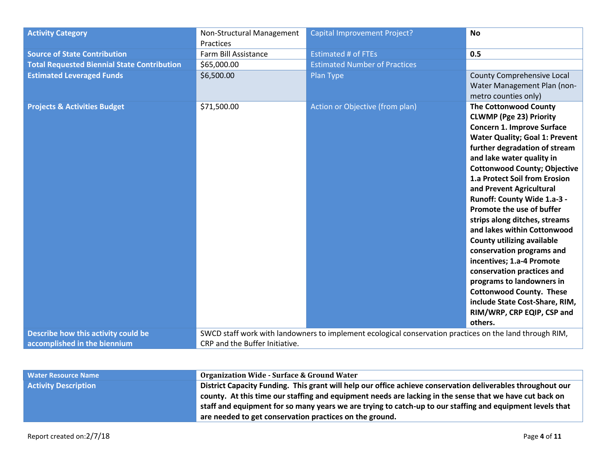| <b>Activity Category</b>                           | Non-Structural Management<br>Practices | Capital Improvement Project?                                                                            | <b>No</b>                                                                                                                                                                                                                                                                                                                                                                                                                                                                                                                                                                                                                                                                                                          |
|----------------------------------------------------|----------------------------------------|---------------------------------------------------------------------------------------------------------|--------------------------------------------------------------------------------------------------------------------------------------------------------------------------------------------------------------------------------------------------------------------------------------------------------------------------------------------------------------------------------------------------------------------------------------------------------------------------------------------------------------------------------------------------------------------------------------------------------------------------------------------------------------------------------------------------------------------|
| <b>Source of State Contribution</b>                | Farm Bill Assistance                   | <b>Estimated # of FTEs</b>                                                                              | 0.5                                                                                                                                                                                                                                                                                                                                                                                                                                                                                                                                                                                                                                                                                                                |
| <b>Total Requested Biennial State Contribution</b> | \$65,000.00                            | <b>Estimated Number of Practices</b>                                                                    |                                                                                                                                                                                                                                                                                                                                                                                                                                                                                                                                                                                                                                                                                                                    |
| <b>Estimated Leveraged Funds</b>                   | \$6,500.00                             | Plan Type                                                                                               | <b>County Comprehensive Local</b><br>Water Management Plan (non-<br>metro counties only)                                                                                                                                                                                                                                                                                                                                                                                                                                                                                                                                                                                                                           |
| <b>Projects &amp; Activities Budget</b>            | \$71,500.00                            | <b>Action or Objective (from plan)</b>                                                                  | <b>The Cottonwood County</b><br><b>CLWMP (Pge 23) Priority</b><br><b>Concern 1. Improve Surface</b><br><b>Water Quality; Goal 1: Prevent</b><br>further degradation of stream<br>and lake water quality in<br><b>Cottonwood County; Objective</b><br>1.a Protect Soil from Erosion<br>and Prevent Agricultural<br>Runoff: County Wide 1.a-3 -<br>Promote the use of buffer<br>strips along ditches, streams<br>and lakes within Cottonwood<br><b>County utilizing available</b><br>conservation programs and<br>incentives; 1.a-4 Promote<br>conservation practices and<br>programs to landowners in<br><b>Cottonwood County. These</b><br>include State Cost-Share, RIM,<br>RIM/WRP, CRP EQIP, CSP and<br>others. |
| Describe how this activity could be                |                                        | SWCD staff work with landowners to implement ecological conservation practices on the land through RIM, |                                                                                                                                                                                                                                                                                                                                                                                                                                                                                                                                                                                                                                                                                                                    |
|                                                    | CRP and the Buffer Initiative.         |                                                                                                         |                                                                                                                                                                                                                                                                                                                                                                                                                                                                                                                                                                                                                                                                                                                    |
| accomplished in the biennium                       |                                        |                                                                                                         |                                                                                                                                                                                                                                                                                                                                                                                                                                                                                                                                                                                                                                                                                                                    |

| <b>Water Resource Name</b>  | <b>Organization Wide - Surface &amp; Ground Water</b>                                                       |
|-----------------------------|-------------------------------------------------------------------------------------------------------------|
| <b>Activity Description</b> | District Capacity Funding. This grant will help our office achieve conservation deliverables throughout our |
|                             | county. At this time our staffing and equipment needs are lacking in the sense that we have cut back on     |
|                             | staff and equipment for so many years we are trying to catch-up to our staffing and equipment levels that   |
|                             | are needed to get conservation practices on the ground.                                                     |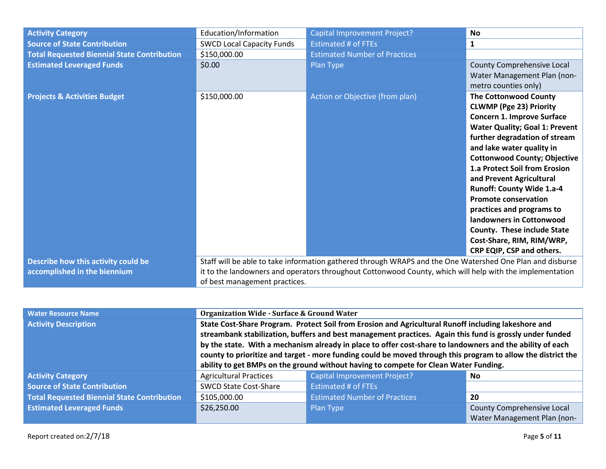| <b>Activity Category</b>                           | Education/Information            | Capital Improvement Project?                                                                              | <b>No</b>                                                                                                                                                                                                                                                                                                                                                                                                                                                                                                                           |
|----------------------------------------------------|----------------------------------|-----------------------------------------------------------------------------------------------------------|-------------------------------------------------------------------------------------------------------------------------------------------------------------------------------------------------------------------------------------------------------------------------------------------------------------------------------------------------------------------------------------------------------------------------------------------------------------------------------------------------------------------------------------|
| <b>Source of State Contribution</b>                | <b>SWCD Local Capacity Funds</b> | <b>Estimated # of FTEs</b>                                                                                | $\mathbf{1}$                                                                                                                                                                                                                                                                                                                                                                                                                                                                                                                        |
| <b>Total Requested Biennial State Contribution</b> | \$150,000.00                     | <b>Estimated Number of Practices</b>                                                                      |                                                                                                                                                                                                                                                                                                                                                                                                                                                                                                                                     |
| <b>Estimated Leveraged Funds</b>                   | \$0.00                           | Plan Type                                                                                                 | County Comprehensive Local<br>Water Management Plan (non-<br>metro counties only)                                                                                                                                                                                                                                                                                                                                                                                                                                                   |
| <b>Projects &amp; Activities Budget</b>            | \$150,000.00                     | Action or Objective (from plan)                                                                           | <b>The Cottonwood County</b><br><b>CLWMP (Pge 23) Priority</b><br><b>Concern 1. Improve Surface</b><br><b>Water Quality; Goal 1: Prevent</b><br>further degradation of stream<br>and lake water quality in<br><b>Cottonwood County; Objective</b><br>1.a Protect Soil from Erosion<br>and Prevent Agricultural<br><b>Runoff: County Wide 1.a-4</b><br><b>Promote conservation</b><br>practices and programs to<br>landowners in Cottonwood<br>County. These include State<br>Cost-Share, RIM, RIM/WRP,<br>CRP EQIP, CSP and others. |
| Describe how this activity could be                |                                  | Staff will be able to take information gathered through WRAPS and the One Watershed One Plan and disburse |                                                                                                                                                                                                                                                                                                                                                                                                                                                                                                                                     |
| accomplished in the biennium                       |                                  | it to the landowners and operators throughout Cottonwood County, which will help with the implementation  |                                                                                                                                                                                                                                                                                                                                                                                                                                                                                                                                     |
|                                                    | of best management practices.    |                                                                                                           |                                                                                                                                                                                                                                                                                                                                                                                                                                                                                                                                     |

| <b>Water Resource Name</b>                         | <b>Organization Wide - Surface &amp; Ground Water</b>                                                                                                                                                                     |                                                                                      |                             |  |
|----------------------------------------------------|---------------------------------------------------------------------------------------------------------------------------------------------------------------------------------------------------------------------------|--------------------------------------------------------------------------------------|-----------------------------|--|
| <b>Activity Description</b>                        | State Cost-Share Program. Protect Soil from Erosion and Agricultural Runoff including lakeshore and<br>streambank stabilization, buffers and best management practices. Again this fund is grossly under funded           |                                                                                      |                             |  |
|                                                    | by the state. With a mechanism already in place to offer cost-share to landowners and the ability of each<br>county to prioritize and target - more funding could be moved through this program to allow the district the |                                                                                      |                             |  |
|                                                    |                                                                                                                                                                                                                           | ability to get BMPs on the ground without having to compete for Clean Water Funding. |                             |  |
| <b>Activity Category</b>                           | <b>Agricultural Practices</b>                                                                                                                                                                                             | <b>Capital Improvement Project?</b>                                                  | No                          |  |
| <b>Source of State Contribution</b>                | <b>Estimated # of FTEs</b><br><b>SWCD State Cost-Share</b>                                                                                                                                                                |                                                                                      |                             |  |
| <b>Total Requested Biennial State Contribution</b> | <b>Estimated Number of Practices</b><br>\$105,000.00<br>20                                                                                                                                                                |                                                                                      |                             |  |
| <b>Estimated Leveraged Funds</b>                   | \$26,250.00                                                                                                                                                                                                               | Plan Type                                                                            | County Comprehensive Local  |  |
|                                                    |                                                                                                                                                                                                                           |                                                                                      | Water Management Plan (non- |  |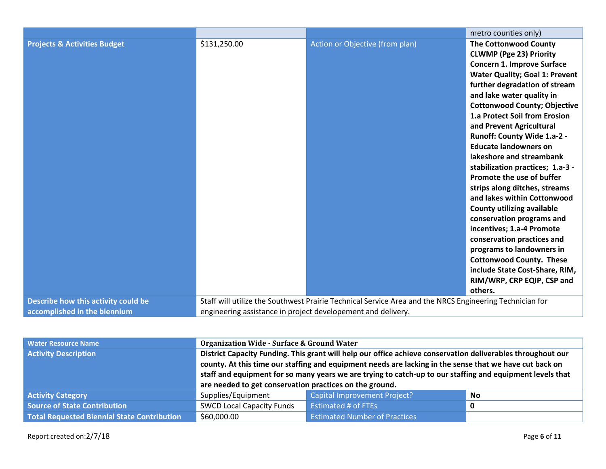| \$131,250.00<br><b>Projects &amp; Activities Budget</b>             | Action or Objective (from plan)<br><b>The Cottonwood County</b><br><b>CLWMP (Pge 23) Priority</b><br><b>Concern 1. Improve Surface</b><br><b>Water Quality; Goal 1: Prevent</b><br>further degradation of stream<br>and lake water quality in<br><b>Cottonwood County; Objective</b><br>1.a Protect Soil from Erosion                                                                                                                                                                                                        |  |  |
|---------------------------------------------------------------------|------------------------------------------------------------------------------------------------------------------------------------------------------------------------------------------------------------------------------------------------------------------------------------------------------------------------------------------------------------------------------------------------------------------------------------------------------------------------------------------------------------------------------|--|--|
|                                                                     | and Prevent Agricultural<br>Runoff: County Wide 1.a-2 -<br><b>Educate landowners on</b><br>lakeshore and streambank<br>stabilization practices; 1.a-3 -<br>Promote the use of buffer<br>strips along ditches, streams<br>and lakes within Cottonwood<br><b>County utilizing available</b><br>conservation programs and<br>incentives; 1.a-4 Promote<br>conservation practices and<br>programs to landowners in<br><b>Cottonwood County. These</b><br>include State Cost-Share, RIM,<br>RIM/WRP, CRP EQIP, CSP and<br>others. |  |  |
| Describe how this activity could be<br>accomplished in the biennium | Staff will utilize the Southwest Prairie Technical Service Area and the NRCS Engineering Technician for<br>engineering assistance in project developement and delivery.                                                                                                                                                                                                                                                                                                                                                      |  |  |

| <b>Water Resource Name</b>                  | <b>Organization Wide - Surface &amp; Ground Water</b>                                                                                                                                                                                                                                                                                                                                          |                                      |   |  |  |
|---------------------------------------------|------------------------------------------------------------------------------------------------------------------------------------------------------------------------------------------------------------------------------------------------------------------------------------------------------------------------------------------------------------------------------------------------|--------------------------------------|---|--|--|
| <b>Activity Description</b>                 | District Capacity Funding. This grant will help our office achieve conservation deliverables throughout our<br>county. At this time our staffing and equipment needs are lacking in the sense that we have cut back on<br>staff and equipment for so many years we are trying to catch-up to our staffing and equipment levels that<br>are needed to get conservation practices on the ground. |                                      |   |  |  |
| <b>Activity Category</b>                    | <b>Capital Improvement Project?</b><br>Supplies/Equipment<br>No                                                                                                                                                                                                                                                                                                                                |                                      |   |  |  |
| Source of State Contribution                | <b>SWCD Local Capacity Funds</b>                                                                                                                                                                                                                                                                                                                                                               | <b>Estimated # of FTEs</b>           | 0 |  |  |
| Total Requested Biennial State Contribution | \$60,000.00                                                                                                                                                                                                                                                                                                                                                                                    | <b>Estimated Number of Practices</b> |   |  |  |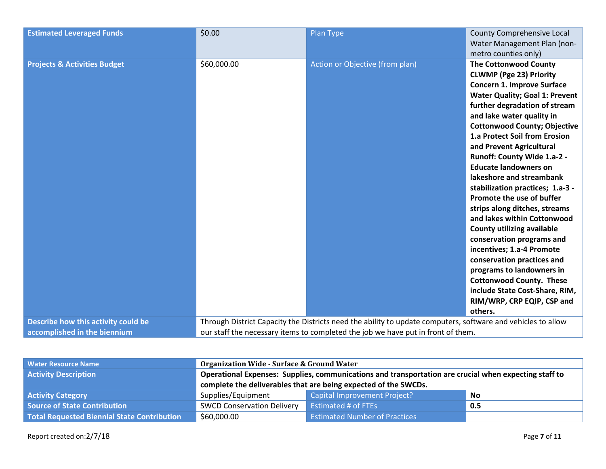| <b>Estimated Leveraged Funds</b>                                    | \$0.00                                                                                                                                                                                           | Plan Type                       | County Comprehensive Local<br>Water Management Plan (non-<br>metro counties only)                                                                                                                                                                                                                                                                                                                                                                                                                                                                                                                                                                                                                                                                                                                                  |
|---------------------------------------------------------------------|--------------------------------------------------------------------------------------------------------------------------------------------------------------------------------------------------|---------------------------------|--------------------------------------------------------------------------------------------------------------------------------------------------------------------------------------------------------------------------------------------------------------------------------------------------------------------------------------------------------------------------------------------------------------------------------------------------------------------------------------------------------------------------------------------------------------------------------------------------------------------------------------------------------------------------------------------------------------------------------------------------------------------------------------------------------------------|
| <b>Projects &amp; Activities Budget</b>                             | \$60,000.00                                                                                                                                                                                      | Action or Objective (from plan) | <b>The Cottonwood County</b><br><b>CLWMP (Pge 23) Priority</b><br><b>Concern 1. Improve Surface</b><br><b>Water Quality; Goal 1: Prevent</b><br>further degradation of stream<br>and lake water quality in<br><b>Cottonwood County; Objective</b><br>1.a Protect Soil from Erosion<br>and Prevent Agricultural<br>Runoff: County Wide 1.a-2 -<br><b>Educate landowners on</b><br>lakeshore and streambank<br>stabilization practices; 1.a-3 -<br>Promote the use of buffer<br>strips along ditches, streams<br>and lakes within Cottonwood<br><b>County utilizing available</b><br>conservation programs and<br>incentives; 1.a-4 Promote<br>conservation practices and<br>programs to landowners in<br><b>Cottonwood County. These</b><br>include State Cost-Share, RIM,<br>RIM/WRP, CRP EQIP, CSP and<br>others. |
| Describe how this activity could be<br>accomplished in the biennium | Through District Capacity the Districts need the ability to update computers, software and vehicles to allow<br>our staff the necessary items to completed the job we have put in front of them. |                                 |                                                                                                                                                                                                                                                                                                                                                                                                                                                                                                                                                                                                                                                                                                                                                                                                                    |

| <b>Water Resource Name</b>                         | <b>Organization Wide - Surface &amp; Ground Water</b>                                                 |                                      |           |
|----------------------------------------------------|-------------------------------------------------------------------------------------------------------|--------------------------------------|-----------|
| <b>Activity Description</b>                        | Operational Expenses: Supplies, communications and transportation are crucial when expecting staff to |                                      |           |
|                                                    | complete the deliverables that are being expected of the SWCDs.                                       |                                      |           |
| <b>Activity Category</b>                           | Supplies/Equipment                                                                                    | Capital Improvement Project?         | <b>No</b> |
| <b>Source of State Contribution</b>                | <b>SWCD Conservation Delivery</b>                                                                     | <b>Estimated # of FTEs</b>           | 0.5       |
| <b>Total Requested Biennial State Contribution</b> | \$60,000.00                                                                                           | <b>Estimated Number of Practices</b> |           |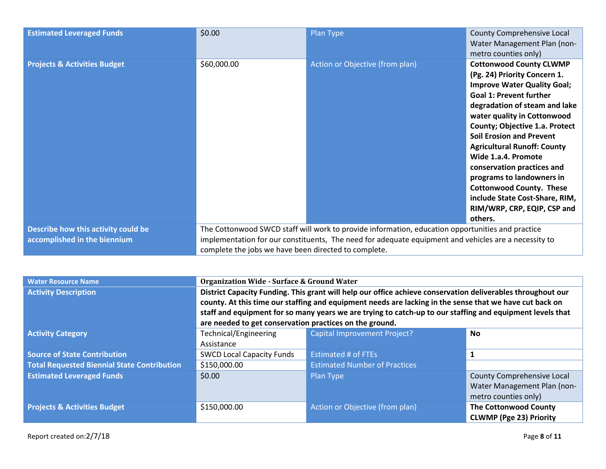| <b>Estimated Leveraged Funds</b>                                    | \$0.00                                                                                                                                                                                                                                                           | Plan Type                       | County Comprehensive Local<br>Water Management Plan (non-<br>metro counties only)                                                                                                                                                                                                                                                                                                                                                                                                                                         |
|---------------------------------------------------------------------|------------------------------------------------------------------------------------------------------------------------------------------------------------------------------------------------------------------------------------------------------------------|---------------------------------|---------------------------------------------------------------------------------------------------------------------------------------------------------------------------------------------------------------------------------------------------------------------------------------------------------------------------------------------------------------------------------------------------------------------------------------------------------------------------------------------------------------------------|
| <b>Projects &amp; Activities Budget</b>                             | \$60,000.00                                                                                                                                                                                                                                                      | Action or Objective (from plan) | <b>Cottonwood County CLWMP</b><br>(Pg. 24) Priority Concern 1.<br><b>Improve Water Quality Goal;</b><br><b>Goal 1: Prevent further</b><br>degradation of steam and lake<br>water quality in Cottonwood<br><b>County; Objective 1.a. Protect</b><br><b>Soil Erosion and Prevent</b><br><b>Agricultural Runoff: County</b><br>Wide 1.a.4. Promote<br>conservation practices and<br>programs to landowners in<br><b>Cottonwood County. These</b><br>include State Cost-Share, RIM,<br>RIM/WRP, CRP, EQIP, CSP and<br>others. |
| Describe how this activity could be<br>accomplished in the biennium | The Cottonwood SWCD staff will work to provide information, education opportunities and practice<br>implementation for our constituents, The need for adequate equipment and vehicles are a necessity to<br>complete the jobs we have been directed to complete. |                                 |                                                                                                                                                                                                                                                                                                                                                                                                                                                                                                                           |

| <b>Water Resource Name</b>                         | <b>Organization Wide - Surface &amp; Ground Water</b>                                                       |                                                                                                           |                                   |
|----------------------------------------------------|-------------------------------------------------------------------------------------------------------------|-----------------------------------------------------------------------------------------------------------|-----------------------------------|
| <b>Activity Description</b>                        | District Capacity Funding. This grant will help our office achieve conservation deliverables throughout our |                                                                                                           |                                   |
|                                                    | county. At this time our staffing and equipment needs are lacking in the sense that we have cut back on     |                                                                                                           |                                   |
|                                                    |                                                                                                             | staff and equipment for so many years we are trying to catch-up to our staffing and equipment levels that |                                   |
|                                                    | are needed to get conservation practices on the ground.                                                     |                                                                                                           |                                   |
| <b>Activity Category</b>                           | Technical/Engineering                                                                                       | Capital Improvement Project?                                                                              | <b>No</b>                         |
|                                                    | Assistance                                                                                                  |                                                                                                           |                                   |
| <b>Source of State Contribution</b>                | <b>SWCD Local Capacity Funds</b>                                                                            | <b>Estimated # of FTEs</b>                                                                                | 1                                 |
| <b>Total Requested Biennial State Contribution</b> | \$150,000.00                                                                                                | <b>Estimated Number of Practices</b>                                                                      |                                   |
| <b>Estimated Leveraged Funds</b>                   | \$0.00                                                                                                      | Plan Type                                                                                                 | <b>County Comprehensive Local</b> |
|                                                    |                                                                                                             |                                                                                                           | Water Management Plan (non-       |
|                                                    |                                                                                                             |                                                                                                           | metro counties only)              |
| <b>Projects &amp; Activities Budget</b>            | \$150,000.00                                                                                                | Action or Objective (from plan)                                                                           | <b>The Cottonwood County</b>      |
|                                                    |                                                                                                             |                                                                                                           | <b>CLWMP (Pge 23) Priority</b>    |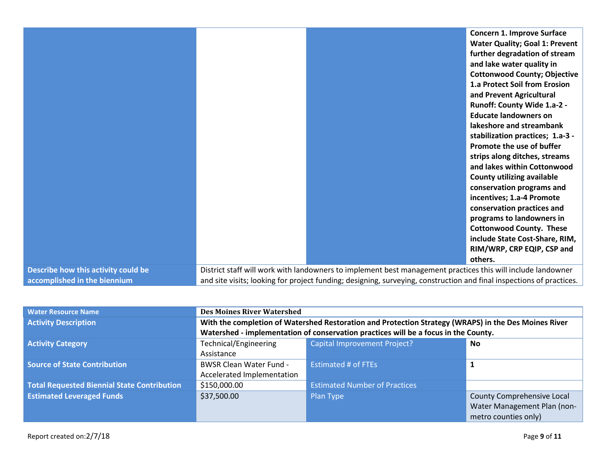|                                     | <b>Concern 1. Improve Surface</b>                                                                                    |
|-------------------------------------|----------------------------------------------------------------------------------------------------------------------|
|                                     | <b>Water Quality; Goal 1: Prevent</b>                                                                                |
|                                     | further degradation of stream                                                                                        |
|                                     | and lake water quality in                                                                                            |
|                                     | <b>Cottonwood County; Objective</b>                                                                                  |
|                                     | 1.a Protect Soil from Erosion                                                                                        |
|                                     | and Prevent Agricultural                                                                                             |
|                                     | Runoff: County Wide 1.a-2 -                                                                                          |
|                                     | <b>Educate landowners on</b>                                                                                         |
|                                     | lakeshore and streambank                                                                                             |
|                                     | stabilization practices; 1.a-3 -                                                                                     |
|                                     | Promote the use of buffer                                                                                            |
|                                     | strips along ditches, streams                                                                                        |
|                                     | and lakes within Cottonwood                                                                                          |
|                                     | <b>County utilizing available</b>                                                                                    |
|                                     | conservation programs and                                                                                            |
|                                     | incentives; 1.a-4 Promote                                                                                            |
|                                     | conservation practices and                                                                                           |
|                                     | programs to landowners in                                                                                            |
|                                     | <b>Cottonwood County. These</b>                                                                                      |
|                                     | include State Cost-Share, RIM,                                                                                       |
|                                     | RIM/WRP, CRP EQIP, CSP and                                                                                           |
|                                     | others.                                                                                                              |
| Describe how this activity could be | District staff will work with landowners to implement best management practices this will include landowner          |
| accomplished in the biennium        | and site visits; looking for project funding; designing, surveying, construction and final inspections of practices. |

| <b>Water Resource Name</b>                         | <b>Des Moines River Watershed</b>                                                                    |                                      |                             |
|----------------------------------------------------|------------------------------------------------------------------------------------------------------|--------------------------------------|-----------------------------|
| <b>Activity Description</b>                        | With the completion of Watershed Restoration and Protection Strategy (WRAPS) in the Des Moines River |                                      |                             |
|                                                    | Watershed - implementation of conservation practices will be a focus in the County.                  |                                      |                             |
| <b>Activity Category</b>                           | Technical/Engineering                                                                                | <b>Capital Improvement Project?</b>  | <b>No</b>                   |
|                                                    | Assistance                                                                                           |                                      |                             |
| <b>Source of State Contribution</b>                | <b>BWSR Clean Water Fund -</b>                                                                       | <b>Estimated # of FTEs</b>           |                             |
|                                                    | Accelerated Implementation                                                                           |                                      |                             |
| <b>Total Requested Biennial State Contribution</b> | \$150,000.00                                                                                         | <b>Estimated Number of Practices</b> |                             |
| <b>Estimated Leveraged Funds</b>                   | \$37,500.00                                                                                          | Plan Type                            | County Comprehensive Local  |
|                                                    |                                                                                                      |                                      | Water Management Plan (non- |
|                                                    |                                                                                                      |                                      | metro counties only)        |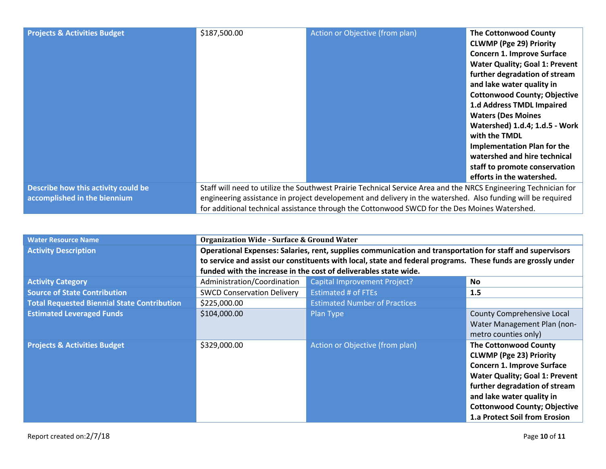| <b>Projects &amp; Activities Budget</b>                             | \$187,500.00                                                                                                                                                                                                                                                                                                                    | Action or Objective (from plan) | <b>The Cottonwood County</b><br><b>CLWMP (Pge 29) Priority</b><br><b>Concern 1. Improve Surface</b><br><b>Water Quality; Goal 1: Prevent</b><br>further degradation of stream<br>and lake water quality in<br><b>Cottonwood County; Objective</b><br>1.d Address TMDL Impaired<br><b>Waters (Des Moines</b><br>Watershed) 1.d.4; 1.d.5 - Work<br>with the TMDL<br><b>Implementation Plan for the</b><br>watershed and hire technical<br>staff to promote conservation<br>efforts in the watershed. |
|---------------------------------------------------------------------|---------------------------------------------------------------------------------------------------------------------------------------------------------------------------------------------------------------------------------------------------------------------------------------------------------------------------------|---------------------------------|----------------------------------------------------------------------------------------------------------------------------------------------------------------------------------------------------------------------------------------------------------------------------------------------------------------------------------------------------------------------------------------------------------------------------------------------------------------------------------------------------|
| Describe how this activity could be<br>accomplished in the biennium | Staff will need to utilize the Southwest Prairie Technical Service Area and the NRCS Engineering Technician for<br>engineering assistance in project developement and delivery in the watershed. Also funding will be required<br>for additional technical assistance through the Cottonwood SWCD for the Des Moines Watershed. |                                 |                                                                                                                                                                                                                                                                                                                                                                                                                                                                                                    |

| <b>Water Resource Name</b>                         | <b>Organization Wide - Surface &amp; Ground Water</b>                                                        |                                      |                                       |
|----------------------------------------------------|--------------------------------------------------------------------------------------------------------------|--------------------------------------|---------------------------------------|
| <b>Activity Description</b>                        | Operational Expenses: Salaries, rent, supplies communication and transportation for staff and supervisors    |                                      |                                       |
|                                                    | to service and assist our constituents with local, state and federal programs. These funds are grossly under |                                      |                                       |
|                                                    | funded with the increase in the cost of deliverables state wide.                                             |                                      |                                       |
| <b>Activity Category</b>                           | Administration/Coordination                                                                                  | <b>Capital Improvement Project?</b>  | <b>No</b>                             |
| <b>Source of State Contribution</b>                | <b>SWCD Conservation Delivery</b>                                                                            | <b>Estimated # of FTEs</b>           | 1.5                                   |
| <b>Total Requested Biennial State Contribution</b> | \$225,000.00                                                                                                 | <b>Estimated Number of Practices</b> |                                       |
| <b>Estimated Leveraged Funds</b>                   | \$104,000.00                                                                                                 | Plan Type                            | County Comprehensive Local            |
|                                                    |                                                                                                              |                                      | Water Management Plan (non-           |
|                                                    |                                                                                                              |                                      | metro counties only)                  |
| <b>Projects &amp; Activities Budget</b>            | \$329,000.00                                                                                                 | Action or Objective (from plan)      | <b>The Cottonwood County</b>          |
|                                                    |                                                                                                              |                                      | <b>CLWMP (Pge 23) Priority</b>        |
|                                                    |                                                                                                              |                                      | Concern 1. Improve Surface            |
|                                                    |                                                                                                              |                                      | <b>Water Quality; Goal 1: Prevent</b> |
|                                                    |                                                                                                              |                                      | further degradation of stream         |
|                                                    |                                                                                                              |                                      | and lake water quality in             |
|                                                    |                                                                                                              |                                      | <b>Cottonwood County; Objective</b>   |
|                                                    |                                                                                                              |                                      | 1.a Protect Soil from Erosion         |